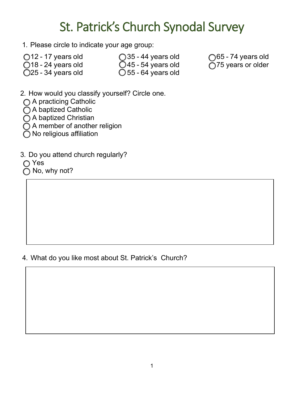## St. Patrick's Church Synodal Survey

- 1. Please circle to indicate your age group:
- 
- 
- 

 18 - 24 years old 45 - 54 years old 75 years or older  $\bigcirc$  55 - 64 years old

 $\bigcirc$  12 - 17 years old  $\bigcirc$  35 - 44 years old  $\bigcirc$  65 - 74 years old  $\bigcirc$  18 - 24 years old  $\bigcirc$  18 - 24 years old  $\bigcirc$  18 - 24 years old  $\bigcirc$  175 years or older

- 2. How would you classify yourself? Circle one.
- ◯ A practicing Catholic
- ◯ A baptized Catholic
- ◯ A baptized Christian
- $\tilde{O}$  A member of another religion
- $\bigcap$  No religious affiliation
- 3. Do you attend church regularly?
- ∩ Yes
- No, why not?

## 4. What do you like most about St. Patrick's Church?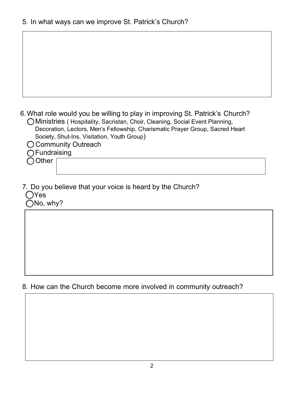|  |  |  | 6. What role would you be willing to play in improving St. Patrick's Church? |  |  |
|--|--|--|------------------------------------------------------------------------------|--|--|
|  |  |  |                                                                              |  |  |

- Ministries ( Hospitality, Sacristan, Choir, Cleaning, Social Event Planning, Decoration, Lectors, Men's Fellowship, Charismatic Prayer Group, Sacred Heart Society, Shut-Ins, Visitation, Youth Group)
- **C** Community Outreach
- **O**Fundraising

◯ Other

7. Do you believe that your voice is heard by the Church? **O**Yes ONo, why?

8. How can the Church become more involved in community outreach?